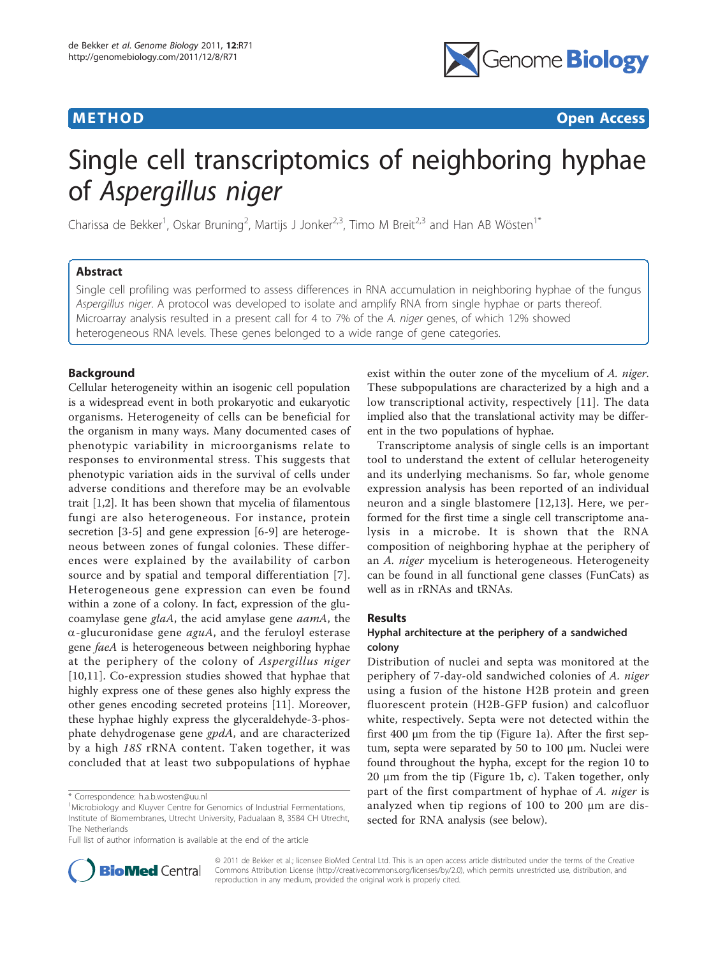

**METHOD CONSIDERING CONSIDERING CONSIDERING CONSIDERING CONSIDERING CONSIDERING CONSIDERING CONSIDERING CONSIDERING CONSIDERING CONSIDERING CONSIDERING CONSIDERING CONSIDERING CONSIDERING CONSIDERING CONSIDERING CONSIDER** 

# Single cell transcriptomics of neighboring hyphae of Aspergillus niger

Charissa de Bekker<sup>1</sup>, Oskar Bruning<sup>2</sup>, Martijs J Jonker<sup>2,3</sup>, Timo M Breit<sup>2,3</sup> and Han AB Wösten<sup>1\*</sup>

# Abstract

Single cell profiling was performed to assess differences in RNA accumulation in neighboring hyphae of the fungus Aspergillus niger. A protocol was developed to isolate and amplify RNA from single hyphae or parts thereof. Microarray analysis resulted in a present call for 4 to 7% of the A. niger genes, of which 12% showed heterogeneous RNA levels. These genes belonged to a wide range of gene categories.

# Background

Cellular heterogeneity within an isogenic cell population is a widespread event in both prokaryotic and eukaryotic organisms. Heterogeneity of cells can be beneficial for the organism in many ways. Many documented cases of phenotypic variability in microorganisms relate to responses to environmental stress. This suggests that phenotypic variation aids in the survival of cells under adverse conditions and therefore may be an evolvable trait [[1,2\]](#page-10-0). It has been shown that mycelia of filamentous fungi are also heterogeneous. For instance, protein secretion [\[3](#page-10-0)-[5\]](#page-10-0) and gene expression [\[6](#page-10-0)-[9\]](#page-10-0) are heterogeneous between zones of fungal colonies. These differences were explained by the availability of carbon source and by spatial and temporal differentiation [[7](#page-10-0)]. Heterogeneous gene expression can even be found within a zone of a colony. In fact, expression of the glucoamylase gene glaA, the acid amylase gene aamA, the  $\alpha$ -glucuronidase gene *aguA*, and the feruloyl esterase gene faeA is heterogeneous between neighboring hyphae at the periphery of the colony of Aspergillus niger [[10,11](#page-10-0)]. Co-expression studies showed that hyphae that highly express one of these genes also highly express the other genes encoding secreted proteins [[11\]](#page-10-0). Moreover, these hyphae highly express the glyceraldehyde-3-phosphate dehydrogenase gene *gpdA*, and are characterized by a high 18S rRNA content. Taken together, it was concluded that at least two subpopulations of hyphae

exist within the outer zone of the mycelium of A. niger. These subpopulations are characterized by a high and a low transcriptional activity, respectively [\[11\]](#page-10-0). The data implied also that the translational activity may be different in the two populations of hyphae.

Transcriptome analysis of single cells is an important tool to understand the extent of cellular heterogeneity and its underlying mechanisms. So far, whole genome expression analysis has been reported of an individual neuron and a single blastomere [\[12,13](#page-10-0)]. Here, we performed for the first time a single cell transcriptome analysis in a microbe. It is shown that the RNA composition of neighboring hyphae at the periphery of an A. niger mycelium is heterogeneous. Heterogeneity can be found in all functional gene classes (FunCats) as well as in rRNAs and tRNAs.

#### Results

# Hyphal architecture at the periphery of a sandwiched colony

Distribution of nuclei and septa was monitored at the periphery of 7-day-old sandwiched colonies of A. niger using a fusion of the histone H2B protein and green fluorescent protein (H2B-GFP fusion) and calcofluor white, respectively. Septa were not detected within the first 400 μm from the tip (Figure [1a](#page-1-0)). After the first septum, septa were separated by 50 to 100 μm. Nuclei were found throughout the hypha, except for the region 10 to 20 μm from the tip (Figure [1b, c\)](#page-1-0). Taken together, only part of the first compartment of hyphae of A. niger is analyzed when tip regions of 100 to 200 μm are dissected for RNA analysis (see below).



© 2011 de Bekker et al.; licensee BioMed Central Ltd. This is an open access article distributed under the terms of the Creative Commons Attribution License [\(http://creativecommons.org/licenses/by/2.0](http://creativecommons.org/licenses/by/2.0)), which permits unrestricted use, distribution, and reproduction in any medium, provided the original work is properly cited.

<sup>\*</sup> Correspondence: [h.a.b.wosten@uu.nl](mailto:h.a.b.wosten@uu.nl)

<sup>&</sup>lt;sup>1</sup>Microbiology and Kluyver Centre for Genomics of Industrial Fermentations, Institute of Biomembranes, Utrecht University, Padualaan 8, 3584 CH Utrecht, The Netherlands

Full list of author information is available at the end of the article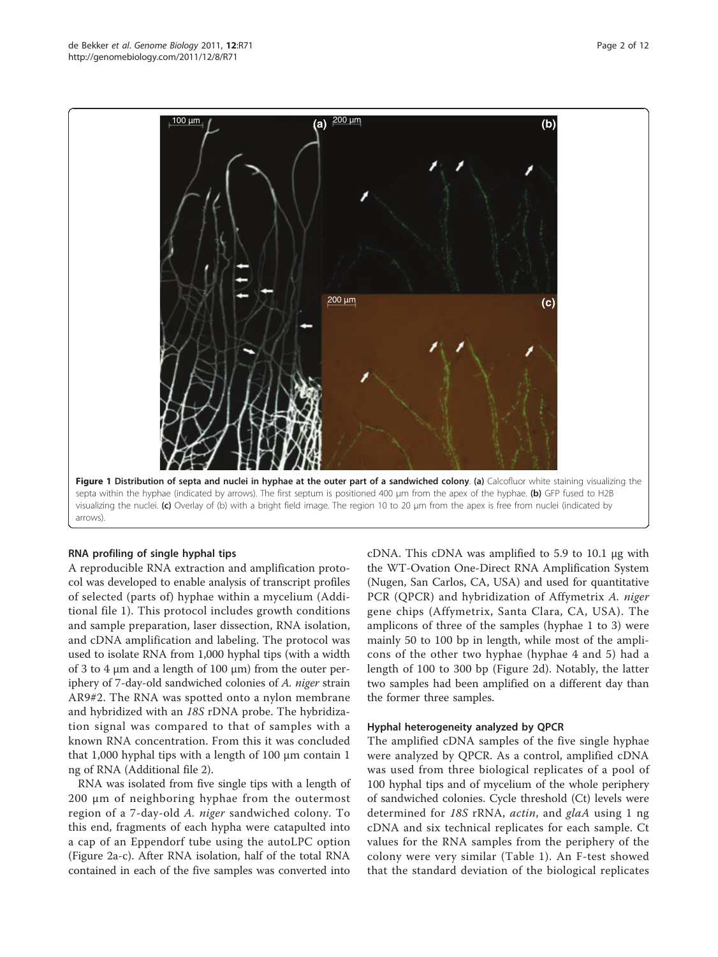<span id="page-1-0"></span>

#### RNA profiling of single hyphal tips

A reproducible RNA extraction and amplification protocol was developed to enable analysis of transcript profiles of selected (parts of) hyphae within a mycelium (Additional file [1](#page-9-0)). This protocol includes growth conditions and sample preparation, laser dissection, RNA isolation, and cDNA amplification and labeling. The protocol was used to isolate RNA from 1,000 hyphal tips (with a width of 3 to 4  $\mu$ m and a length of 100  $\mu$ m) from the outer periphery of 7-day-old sandwiched colonies of A. niger strain AR9#2. The RNA was spotted onto a nylon membrane and hybridized with an 18S rDNA probe. The hybridization signal was compared to that of samples with a known RNA concentration. From this it was concluded that 1,000 hyphal tips with a length of 100 μm contain 1 ng of RNA (Additional file [2\)](#page-9-0).

RNA was isolated from five single tips with a length of 200 μm of neighboring hyphae from the outermost region of a 7-day-old A. niger sandwiched colony. To this end, fragments of each hypha were catapulted into a cap of an Eppendorf tube using the autoLPC option (Figure [2a-c\)](#page-2-0). After RNA isolation, half of the total RNA contained in each of the five samples was converted into

cDNA. This cDNA was amplified to 5.9 to 10.1 μg with the WT-Ovation One-Direct RNA Amplification System (Nugen, San Carlos, CA, USA) and used for quantitative PCR (QPCR) and hybridization of Affymetrix A. niger gene chips (Affymetrix, Santa Clara, CA, USA). The amplicons of three of the samples (hyphae 1 to 3) were mainly 50 to 100 bp in length, while most of the amplicons of the other two hyphae (hyphae 4 and 5) had a length of 100 to 300 bp (Figure [2d](#page-2-0)). Notably, the latter two samples had been amplified on a different day than the former three samples.

#### Hyphal heterogeneity analyzed by QPCR

The amplified cDNA samples of the five single hyphae were analyzed by QPCR. As a control, amplified cDNA was used from three biological replicates of a pool of 100 hyphal tips and of mycelium of the whole periphery of sandwiched colonies. Cycle threshold (Ct) levels were determined for 18S rRNA, actin, and glaA using 1 ng cDNA and six technical replicates for each sample. Ct values for the RNA samples from the periphery of the colony were very similar (Table [1](#page-2-0)). An F-test showed that the standard deviation of the biological replicates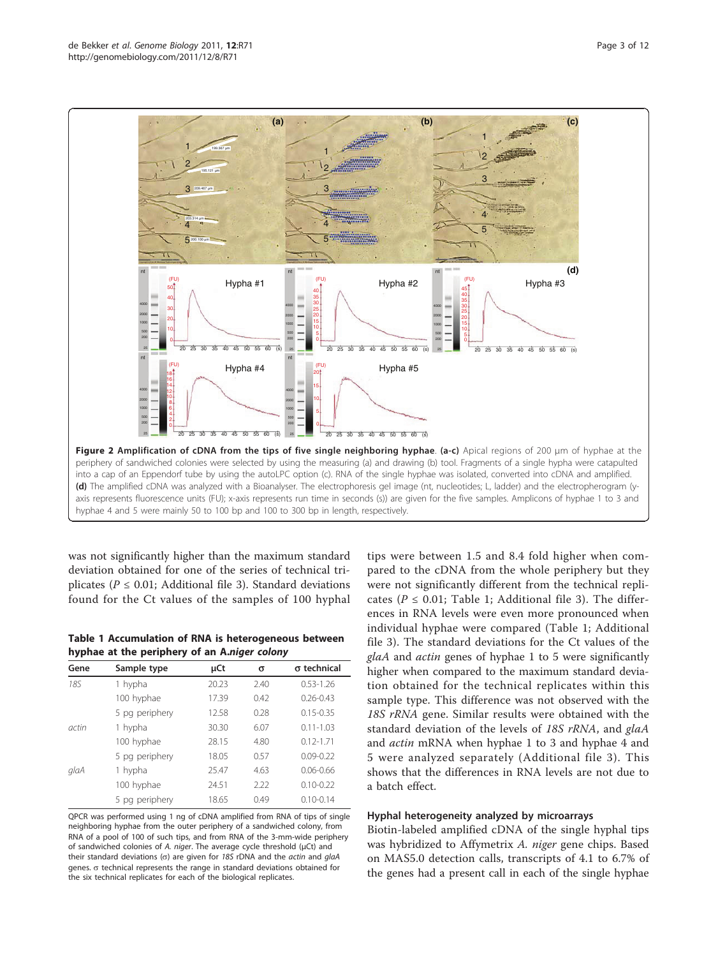<span id="page-2-0"></span>

was not significantly higher than the maximum standard deviation obtained for one of the series of technical triplicates ( $P \le 0.01$ ; Additional file [3\)](#page-9-0). Standard deviations found for the Ct values of the samples of 100 hyphal

Table 1 Accumulation of RNA is heterogeneous between hyphae at the periphery of an A.niger colony

| Gene  | Sample type    | µCt   | σ    | $\sigma$ technical |
|-------|----------------|-------|------|--------------------|
| 185   | 1 hypha        | 20.23 | 2.40 | $0.53 - 1.26$      |
|       | 100 hyphae     | 17.39 | 0.42 | $0.26 - 0.43$      |
|       | 5 pg periphery | 12.58 | 0.28 | $0.15 - 0.35$      |
| actin | 1 hypha        | 30.30 | 6.07 | $0.11 - 1.03$      |
|       | 100 hyphae     | 28.15 | 4.80 | $0.12 - 1.71$      |
|       | 5 pg periphery | 18.05 | 0.57 | $0.09 - 0.22$      |
| glaA  | 1 hypha        | 25.47 | 4.63 | $0.06 - 0.66$      |
|       | 100 hyphae     | 24.51 | 2.22 | $0.10 - 0.22$      |
|       | 5 pg periphery | 18.65 | 0.49 | $0.10 - 0.14$      |

QPCR was performed using 1 ng of cDNA amplified from RNA of tips of single neighboring hyphae from the outer periphery of a sandwiched colony, from RNA of a pool of 100 of such tips, and from RNA of the 3-mm-wide periphery of sandwiched colonies of A. niger. The average cycle threshold (μCt) and their standard deviations ( $\sigma$ ) are given for 18S rDNA and the *actin* and glaA genes.  $\sigma$  technical represents the range in standard deviations obtained for the six technical replicates for each of the biological replicates.

tips were between 1.5 and 8.4 fold higher when compared to the cDNA from the whole periphery but they were not significantly different from the technical replicates ( $P \le 0.01$ ; Table 1; Additional file [3\)](#page-9-0). The differences in RNA levels were even more pronounced when individual hyphae were compared (Table 1; Additional file [3\)](#page-9-0). The standard deviations for the Ct values of the glaA and actin genes of hyphae 1 to 5 were significantly higher when compared to the maximum standard deviation obtained for the technical replicates within this sample type. This difference was not observed with the 18S rRNA gene. Similar results were obtained with the standard deviation of the levels of 18S rRNA, and glaA and actin mRNA when hyphae 1 to 3 and hyphae 4 and 5 were analyzed separately (Additional file [3\)](#page-9-0). This shows that the differences in RNA levels are not due to a batch effect.

#### Hyphal heterogeneity analyzed by microarrays

Biotin-labeled amplified cDNA of the single hyphal tips was hybridized to Affymetrix A. niger gene chips. Based on MAS5.0 detection calls, transcripts of 4.1 to 6.7% of the genes had a present call in each of the single hyphae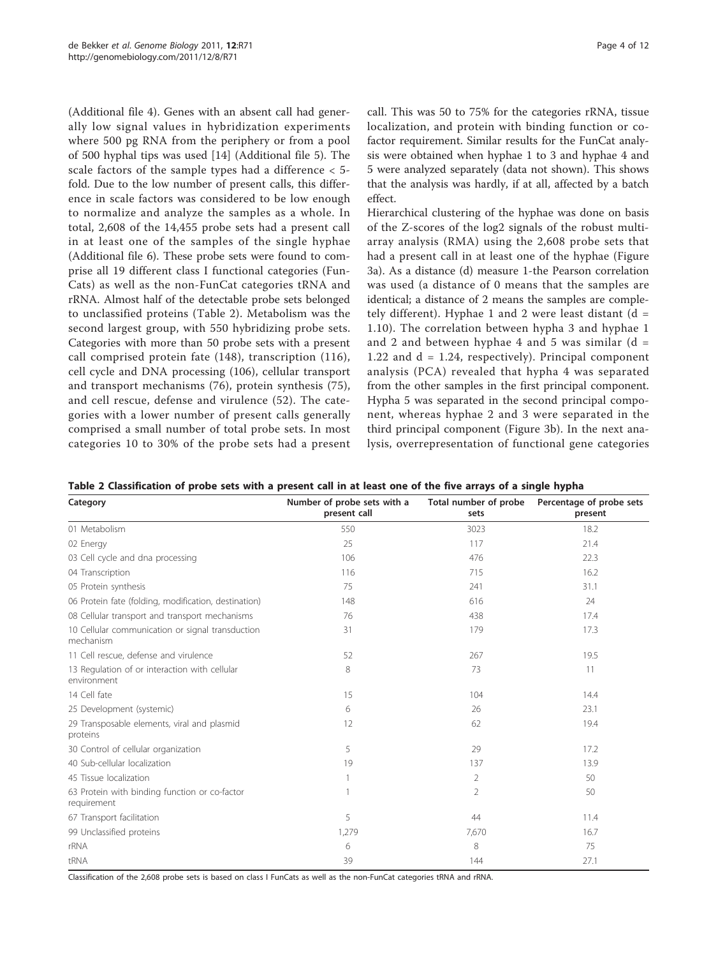(Additional file [4](#page-9-0)). Genes with an absent call had generally low signal values in hybridization experiments where 500 pg RNA from the periphery or from a pool of 500 hyphal tips was used [[14](#page-10-0)] (Additional file [5\)](#page-9-0). The scale factors of the sample types had a difference < 5 fold. Due to the low number of present calls, this difference in scale factors was considered to be low enough to normalize and analyze the samples as a whole. In total, 2,608 of the 14,455 probe sets had a present call in at least one of the samples of the single hyphae (Additional file [6\)](#page-9-0). These probe sets were found to comprise all 19 different class I functional categories (Fun-Cats) as well as the non-FunCat categories tRNA and rRNA. Almost half of the detectable probe sets belonged to unclassified proteins (Table 2). Metabolism was the second largest group, with 550 hybridizing probe sets. Categories with more than 50 probe sets with a present call comprised protein fate (148), transcription (116), cell cycle and DNA processing (106), cellular transport and transport mechanisms (76), protein synthesis (75), and cell rescue, defense and virulence (52). The categories with a lower number of present calls generally comprised a small number of total probe sets. In most categories 10 to 30% of the probe sets had a present

call. This was 50 to 75% for the categories rRNA, tissue localization, and protein with binding function or cofactor requirement. Similar results for the FunCat analysis were obtained when hyphae 1 to 3 and hyphae 4 and 5 were analyzed separately (data not shown). This shows that the analysis was hardly, if at all, affected by a batch effect.

Hierarchical clustering of the hyphae was done on basis of the Z-scores of the log2 signals of the robust multiarray analysis (RMA) using the 2,608 probe sets that had a present call in at least one of the hyphae (Figure [3a\)](#page-4-0). As a distance (d) measure 1-the Pearson correlation was used (a distance of 0 means that the samples are identical; a distance of 2 means the samples are completely different). Hyphae 1 and 2 were least distant  $(d =$ 1.10). The correlation between hypha 3 and hyphae 1 and 2 and between hyphae 4 and 5 was similar  $(d =$ 1.22 and  $d = 1.24$ , respectively). Principal component analysis (PCA) revealed that hypha 4 was separated from the other samples in the first principal component. Hypha 5 was separated in the second principal component, whereas hyphae 2 and 3 were separated in the third principal component (Figure [3b\)](#page-4-0). In the next analysis, overrepresentation of functional gene categories

| Category                                                      | Number of probe sets with a<br>present call | Total number of probe<br>sets | Percentage of probe sets<br>present |
|---------------------------------------------------------------|---------------------------------------------|-------------------------------|-------------------------------------|
| 01 Metabolism                                                 | 550                                         | 3023                          | 18.2                                |
| 02 Energy                                                     | 25                                          | 117                           | 21.4                                |
| 03 Cell cycle and dna processing                              | 106                                         | 476                           | 22.3                                |
| 04 Transcription                                              | 116                                         | 715                           | 16.2                                |
| 05 Protein synthesis                                          | 75                                          | 241                           | 31.1                                |
| 06 Protein fate (folding, modification, destination)          | 148                                         | 616                           | 24                                  |
| 08 Cellular transport and transport mechanisms                | 76                                          | 438                           | 17.4                                |
| 10 Cellular communication or signal transduction<br>mechanism | 31                                          | 179                           | 17.3                                |
| 11 Cell rescue, defense and virulence                         | 52                                          | 267                           | 19.5                                |
| 13 Regulation of or interaction with cellular<br>environment  | 8                                           | 73                            | 11                                  |
| 14 Cell fate                                                  | 15                                          | 104                           | 14.4                                |
| 25 Development (systemic)                                     | 6                                           | 26                            | 23.1                                |
| 29 Transposable elements, viral and plasmid<br>proteins       | 12                                          | 62                            | 19.4                                |
| 30 Control of cellular organization                           | 5                                           | 29                            | 17.2                                |
| 40 Sub-cellular localization                                  | 19                                          | 137                           | 13.9                                |
| 45 Tissue localization                                        |                                             | 2                             | 50                                  |
| 63 Protein with binding function or co-factor<br>requirement  |                                             | $\overline{2}$                | 50                                  |
| 67 Transport facilitation                                     | 5                                           | 44                            | 11.4                                |
| 99 Unclassified proteins                                      | 1,279                                       | 7,670                         | 16.7                                |
| rRNA                                                          | 6                                           | 8                             | 75                                  |
| tRNA                                                          | 39                                          | 144                           | 27.1                                |

Table 2 Classification of probe sets with a present call in at least one of the five arrays of a single hypha

Classification of the 2,608 probe sets is based on class I FunCats as well as the non-FunCat categories tRNA and rRNA.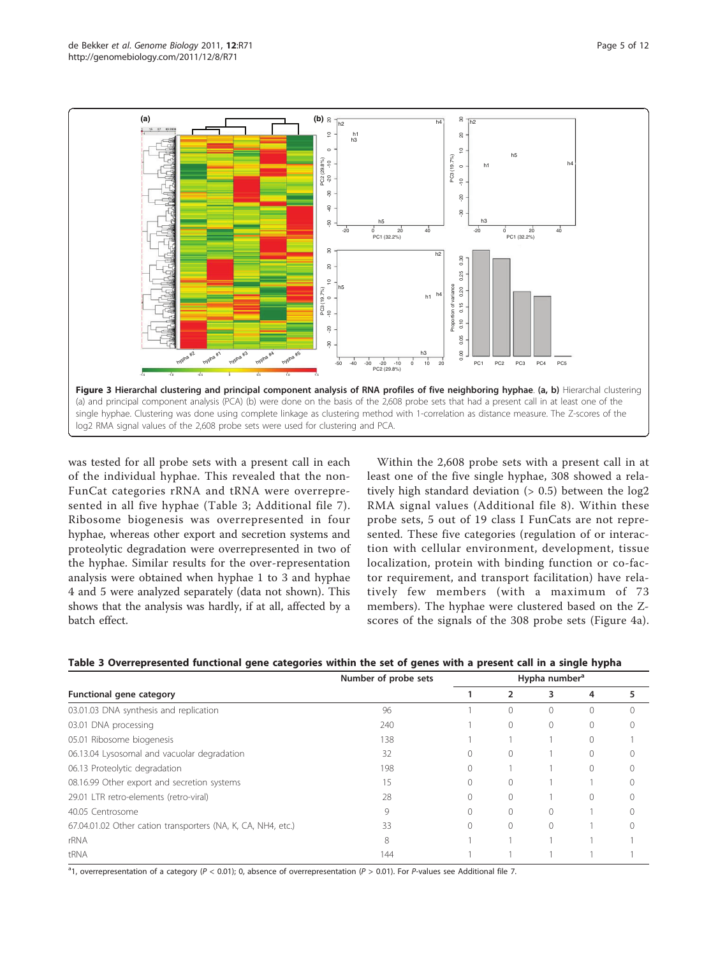<span id="page-4-0"></span>

was tested for all probe sets with a present call in each of the individual hyphae. This revealed that the non-FunCat categories rRNA and tRNA were overrepresented in all five hyphae (Table 3; Additional file [7\)](#page-9-0). Ribosome biogenesis was overrepresented in four hyphae, whereas other export and secretion systems and proteolytic degradation were overrepresented in two of the hyphae. Similar results for the over-representation analysis were obtained when hyphae 1 to 3 and hyphae 4 and 5 were analyzed separately (data not shown). This shows that the analysis was hardly, if at all, affected by a batch effect.

Within the 2,608 probe sets with a present call in at least one of the five single hyphae, 308 showed a relatively high standard deviation  $(> 0.5)$  between the  $log2$ RMA signal values (Additional file [8\)](#page-9-0). Within these probe sets, 5 out of 19 class I FunCats are not represented. These five categories (regulation of or interaction with cellular environment, development, tissue localization, protein with binding function or co-factor requirement, and transport facilitation) have relatively few members (with a maximum of 73 members). The hyphae were clustered based on the Zscores of the signals of the 308 probe sets (Figure [4a](#page-5-0)).

|  |  |  | Table 3 Overrepresented functional gene categories within the set of genes with a present call in a single hypha |
|--|--|--|------------------------------------------------------------------------------------------------------------------|
|--|--|--|------------------------------------------------------------------------------------------------------------------|

|                                                              | Number of probe sets | Hypha number <sup>a</sup> |           |   |           |  |
|--------------------------------------------------------------|----------------------|---------------------------|-----------|---|-----------|--|
| <b>Functional gene category</b>                              |                      |                           |           | 3 | 4         |  |
| 03.01.03 DNA synthesis and replication                       | 96                   |                           |           |   | 0         |  |
| 03.01 DNA processing                                         | 240                  |                           | $\Omega$  |   | $\Omega$  |  |
| 05.01 Ribosome biogenesis                                    | 138                  |                           |           |   | $\bigcap$ |  |
| 06.13.04 Lysosomal and vacuolar degradation                  | 32                   |                           | $\Omega$  |   | $\Omega$  |  |
| 06.13 Proteolytic degradation                                | 198                  |                           |           |   | $\Omega$  |  |
| 08.16.99 Other export and secretion systems                  | 15                   |                           | $\Omega$  |   |           |  |
| 29.01 LTR retro-elements (retro-viral)                       | 28                   |                           |           |   | 0         |  |
| 40.05 Centrosome                                             | $\circ$              |                           | $\bigcap$ |   |           |  |
| 67.04.01.02 Other cation transporters (NA, K, CA, NH4, etc.) | 33                   |                           | $\bigcap$ |   |           |  |
| rRNA                                                         | 8                    |                           |           |   |           |  |
| tRNA                                                         | 144                  |                           |           |   |           |  |

<sup>a</sup>1, overrepresentation of a category (P < 0.01); 0, absence of overrepresentation (P > 0.01). For P-values see Additional file [7](#page-9-0).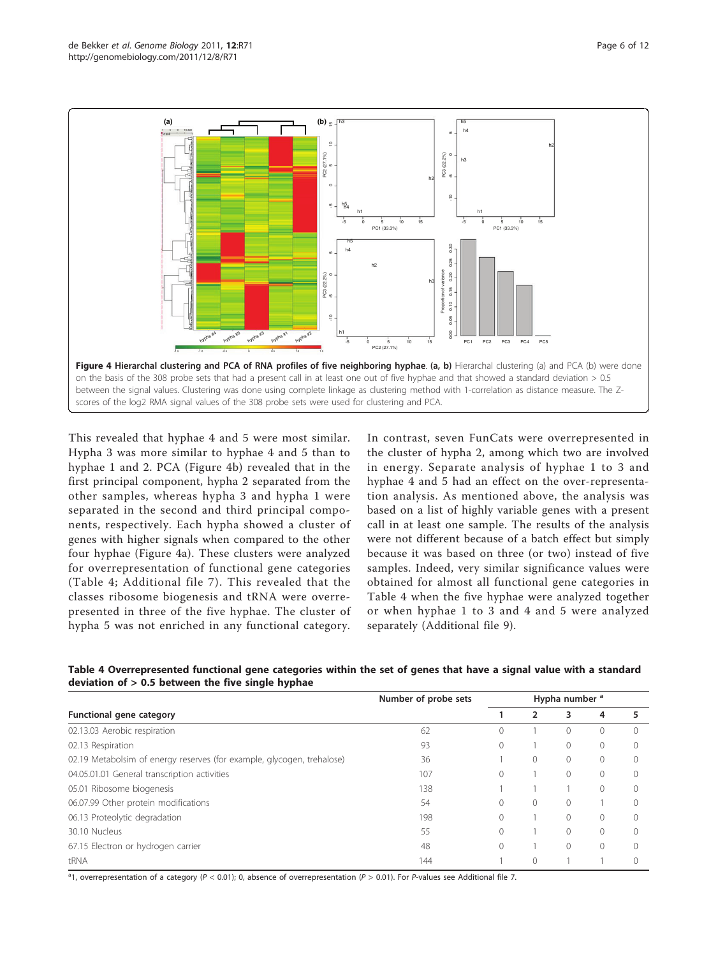<span id="page-5-0"></span>

This revealed that hyphae 4 and 5 were most similar. Hypha 3 was more similar to hyphae 4 and 5 than to hyphae 1 and 2. PCA (Figure 4b) revealed that in the first principal component, hypha 2 separated from the other samples, whereas hypha 3 and hypha 1 were separated in the second and third principal components, respectively. Each hypha showed a cluster of genes with higher signals when compared to the other four hyphae (Figure 4a). These clusters were analyzed for overrepresentation of functional gene categories (Table 4; Additional file [7](#page-9-0)). This revealed that the classes ribosome biogenesis and tRNA were overrepresented in three of the five hyphae. The cluster of hypha 5 was not enriched in any functional category.

In contrast, seven FunCats were overrepresented in the cluster of hypha 2, among which two are involved in energy. Separate analysis of hyphae 1 to 3 and hyphae 4 and 5 had an effect on the over-representation analysis. As mentioned above, the analysis was based on a list of highly variable genes with a present call in at least one sample. The results of the analysis were not different because of a batch effect but simply because it was based on three (or two) instead of five samples. Indeed, very similar significance values were obtained for almost all functional gene categories in Table 4 when the five hyphae were analyzed together or when hyphae 1 to 3 and 4 and 5 were analyzed separately (Additional file [9\)](#page-9-0).

| Table 4 Overrepresented functional gene categories within the set of genes that have a signal value with a standard |  |
|---------------------------------------------------------------------------------------------------------------------|--|
| deviation of $> 0.5$ between the five single hyphae                                                                 |  |

|                                                                        | Number of probe sets | Hypha number <sup>a</sup> |          |          |                  |  |
|------------------------------------------------------------------------|----------------------|---------------------------|----------|----------|------------------|--|
| Functional gene category                                               |                      |                           |          | 3        | 4                |  |
| 02.13.03 Aerobic respiration                                           | 62                   |                           |          | 0        | $\left( \right)$ |  |
| 02.13 Respiration                                                      | 93                   |                           |          | $\Omega$ | 0                |  |
| 02.19 Metabolsim of energy reserves (for example, glycogen, trehalose) | 36                   |                           | 0        | 0        | $\Omega$         |  |
| 04.05.01.01 General transcription activities                           | 107                  |                           |          | 0        |                  |  |
| 05.01 Ribosome biogenesis                                              | 138                  |                           |          |          |                  |  |
| 06.07.99 Other protein modifications                                   | 54                   |                           | $\Omega$ | 0        |                  |  |
| 06.13 Proteolytic degradation                                          | 198                  |                           |          | 0        | 0                |  |
| 30.10 Nucleus                                                          | 55                   |                           |          | 0        | ∩                |  |
| 67.15 Electron or hydrogen carrier                                     | 48                   |                           |          | 0        |                  |  |
| tRNA                                                                   | 144                  |                           |          |          |                  |  |

<sup>a</sup>1, overrepresentation of a category (P < 0.01); 0, absence of overrepresentation (P > 0.01). For P-values see Additional file [7](#page-9-0).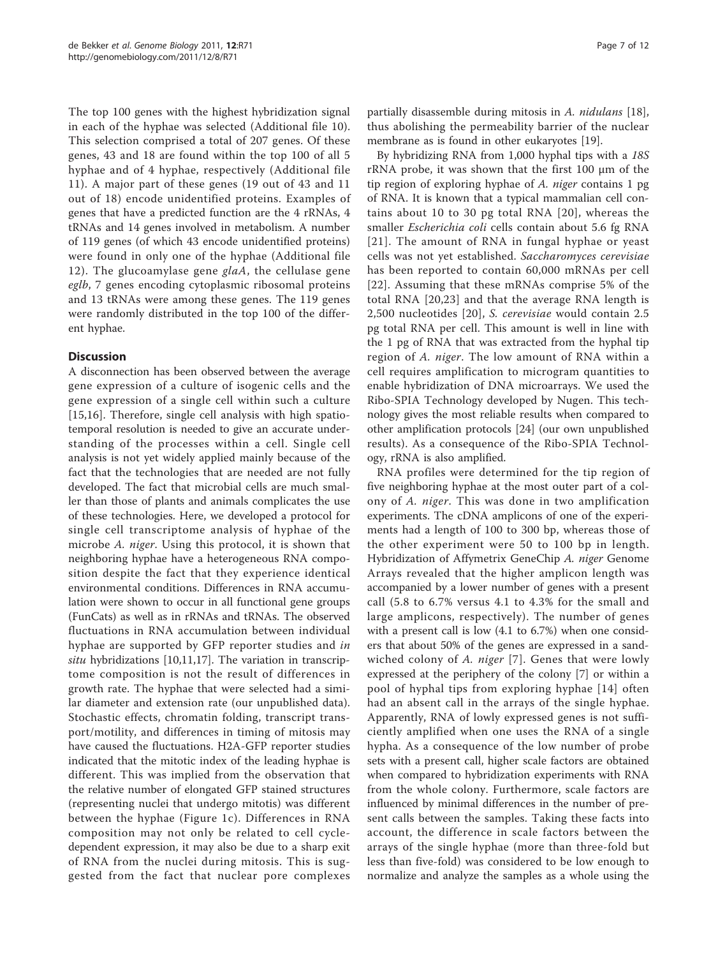The top 100 genes with the highest hybridization signal in each of the hyphae was selected (Additional file [10](#page-9-0)). This selection comprised a total of 207 genes. Of these genes, 43 and 18 are found within the top 100 of all 5 hyphae and of 4 hyphae, respectively (Additional file [11\)](#page-9-0). A major part of these genes (19 out of 43 and 11 out of 18) encode unidentified proteins. Examples of genes that have a predicted function are the 4 rRNAs, 4 tRNAs and 14 genes involved in metabolism. A number of 119 genes (of which 43 encode unidentified proteins) were found in only one of the hyphae (Additional file [12](#page-9-0)). The glucoamylase gene  $glaA$ , the cellulase gene eglb, 7 genes encoding cytoplasmic ribosomal proteins and 13 tRNAs were among these genes. The 119 genes were randomly distributed in the top 100 of the different hyphae.

# **Discussion**

A disconnection has been observed between the average gene expression of a culture of isogenic cells and the gene expression of a single cell within such a culture [[15,16](#page-10-0)]. Therefore, single cell analysis with high spatiotemporal resolution is needed to give an accurate understanding of the processes within a cell. Single cell analysis is not yet widely applied mainly because of the fact that the technologies that are needed are not fully developed. The fact that microbial cells are much smaller than those of plants and animals complicates the use of these technologies. Here, we developed a protocol for single cell transcriptome analysis of hyphae of the microbe A. niger. Using this protocol, it is shown that neighboring hyphae have a heterogeneous RNA composition despite the fact that they experience identical environmental conditions. Differences in RNA accumulation were shown to occur in all functional gene groups (FunCats) as well as in rRNAs and tRNAs. The observed fluctuations in RNA accumulation between individual hyphae are supported by GFP reporter studies and in situ hybridizations  $[10,11,17]$  $[10,11,17]$  $[10,11,17]$  $[10,11,17]$  $[10,11,17]$  $[10,11,17]$  $[10,11,17]$ . The variation in transcriptome composition is not the result of differences in growth rate. The hyphae that were selected had a similar diameter and extension rate (our unpublished data). Stochastic effects, chromatin folding, transcript transport/motility, and differences in timing of mitosis may have caused the fluctuations. H2A-GFP reporter studies indicated that the mitotic index of the leading hyphae is different. This was implied from the observation that the relative number of elongated GFP stained structures (representing nuclei that undergo mitotis) was different between the hyphae (Figure [1c](#page-1-0)). Differences in RNA composition may not only be related to cell cycledependent expression, it may also be due to a sharp exit of RNA from the nuclei during mitosis. This is suggested from the fact that nuclear pore complexes partially disassemble during mitosis in A. nidulans [\[18](#page-10-0)], thus abolishing the permeability barrier of the nuclear membrane as is found in other eukaryotes [\[19\]](#page-10-0).

By hybridizing RNA from 1,000 hyphal tips with a 18S rRNA probe, it was shown that the first 100 μm of the tip region of exploring hyphae of A. niger contains 1 pg of RNA. It is known that a typical mammalian cell contains about 10 to 30 pg total RNA [[20](#page-10-0)], whereas the smaller Escherichia coli cells contain about 5.6 fg RNA [[21\]](#page-10-0). The amount of RNA in fungal hyphae or yeast cells was not yet established. Saccharomyces cerevisiae has been reported to contain 60,000 mRNAs per cell [[22](#page-10-0)]. Assuming that these mRNAs comprise 5% of the total RNA [[20,23](#page-10-0)] and that the average RNA length is 2,500 nucleotides [[20\]](#page-10-0), S. cerevisiae would contain 2.5 pg total RNA per cell. This amount is well in line with the 1 pg of RNA that was extracted from the hyphal tip region of A. niger. The low amount of RNA within a cell requires amplification to microgram quantities to enable hybridization of DNA microarrays. We used the Ribo-SPIA Technology developed by Nugen. This technology gives the most reliable results when compared to other amplification protocols [[24\]](#page-10-0) (our own unpublished results). As a consequence of the Ribo-SPIA Technology, rRNA is also amplified.

RNA profiles were determined for the tip region of five neighboring hyphae at the most outer part of a colony of A. niger. This was done in two amplification experiments. The cDNA amplicons of one of the experiments had a length of 100 to 300 bp, whereas those of the other experiment were 50 to 100 bp in length. Hybridization of Affymetrix GeneChip A. niger Genome Arrays revealed that the higher amplicon length was accompanied by a lower number of genes with a present call (5.8 to 6.7% versus 4.1 to 4.3% for the small and large amplicons, respectively). The number of genes with a present call is low (4.1 to 6.7%) when one considers that about 50% of the genes are expressed in a sand-wiched colony of A. niger [\[7\]](#page-10-0). Genes that were lowly expressed at the periphery of the colony [[7\]](#page-10-0) or within a pool of hyphal tips from exploring hyphae [[14](#page-10-0)] often had an absent call in the arrays of the single hyphae. Apparently, RNA of lowly expressed genes is not sufficiently amplified when one uses the RNA of a single hypha. As a consequence of the low number of probe sets with a present call, higher scale factors are obtained when compared to hybridization experiments with RNA from the whole colony. Furthermore, scale factors are influenced by minimal differences in the number of present calls between the samples. Taking these facts into account, the difference in scale factors between the arrays of the single hyphae (more than three-fold but less than five-fold) was considered to be low enough to normalize and analyze the samples as a whole using the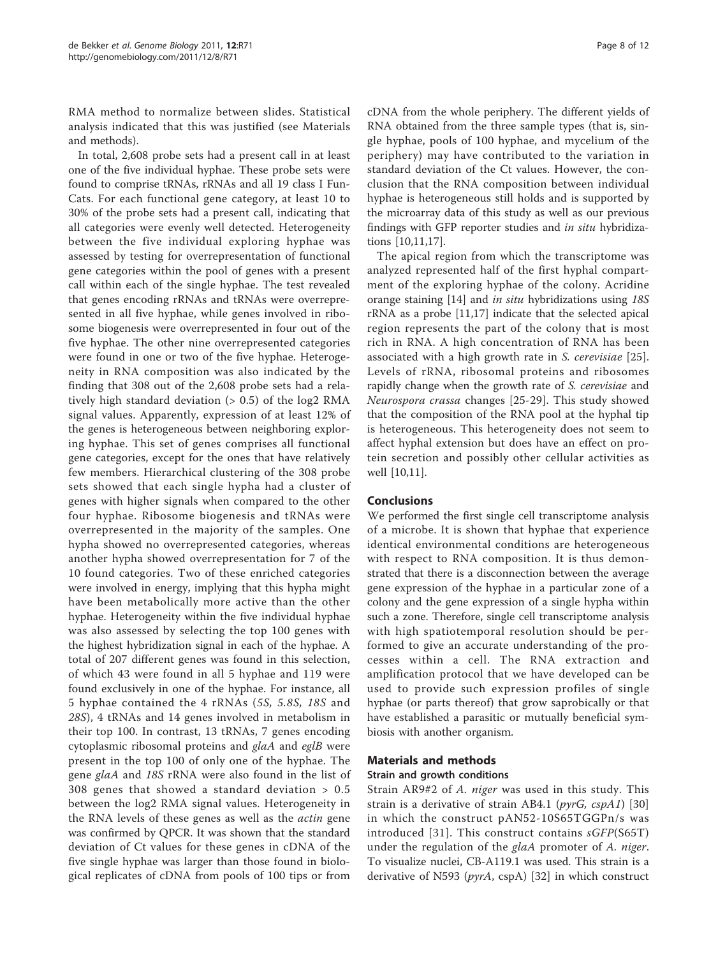RMA method to normalize between slides. Statistical analysis indicated that this was justified (see Materials and methods).

In total, 2,608 probe sets had a present call in at least one of the five individual hyphae. These probe sets were found to comprise tRNAs, rRNAs and all 19 class I Fun-Cats. For each functional gene category, at least 10 to 30% of the probe sets had a present call, indicating that all categories were evenly well detected. Heterogeneity between the five individual exploring hyphae was assessed by testing for overrepresentation of functional gene categories within the pool of genes with a present call within each of the single hyphae. The test revealed that genes encoding rRNAs and tRNAs were overrepresented in all five hyphae, while genes involved in ribosome biogenesis were overrepresented in four out of the five hyphae. The other nine overrepresented categories were found in one or two of the five hyphae. Heterogeneity in RNA composition was also indicated by the finding that 308 out of the 2,608 probe sets had a relatively high standard deviation  $(> 0.5)$  of the log2 RMA signal values. Apparently, expression of at least 12% of the genes is heterogeneous between neighboring exploring hyphae. This set of genes comprises all functional gene categories, except for the ones that have relatively few members. Hierarchical clustering of the 308 probe sets showed that each single hypha had a cluster of genes with higher signals when compared to the other four hyphae. Ribosome biogenesis and tRNAs were overrepresented in the majority of the samples. One hypha showed no overrepresented categories, whereas another hypha showed overrepresentation for 7 of the 10 found categories. Two of these enriched categories were involved in energy, implying that this hypha might have been metabolically more active than the other hyphae. Heterogeneity within the five individual hyphae was also assessed by selecting the top 100 genes with the highest hybridization signal in each of the hyphae. A total of 207 different genes was found in this selection, of which 43 were found in all 5 hyphae and 119 were found exclusively in one of the hyphae. For instance, all 5 hyphae contained the 4 rRNAs (5S, 5.8S, 18S and 28S), 4 tRNAs and 14 genes involved in metabolism in their top 100. In contrast, 13 tRNAs, 7 genes encoding cytoplasmic ribosomal proteins and glaA and eglB were present in the top 100 of only one of the hyphae. The gene glaA and 18S rRNA were also found in the list of 308 genes that showed a standard deviation > 0.5 between the log2 RMA signal values. Heterogeneity in the RNA levels of these genes as well as the actin gene was confirmed by QPCR. It was shown that the standard deviation of Ct values for these genes in cDNA of the five single hyphae was larger than those found in biological replicates of cDNA from pools of 100 tips or from cDNA from the whole periphery. The different yields of RNA obtained from the three sample types (that is, single hyphae, pools of 100 hyphae, and mycelium of the periphery) may have contributed to the variation in standard deviation of the Ct values. However, the conclusion that the RNA composition between individual hyphae is heterogeneous still holds and is supported by the microarray data of this study as well as our previous findings with GFP reporter studies and in situ hybridizations [\[10,11,17\]](#page-10-0).

The apical region from which the transcriptome was analyzed represented half of the first hyphal compartment of the exploring hyphae of the colony. Acridine orange staining [\[14\]](#page-10-0) and *in situ* hybridizations using 18S rRNA as a probe [[11,17\]](#page-10-0) indicate that the selected apical region represents the part of the colony that is most rich in RNA. A high concentration of RNA has been associated with a high growth rate in S. cerevisiae [[25](#page-10-0)]. Levels of rRNA, ribosomal proteins and ribosomes rapidly change when the growth rate of S. cerevisiae and Neurospora crassa changes [[25](#page-10-0)-[29\]](#page-10-0). This study showed that the composition of the RNA pool at the hyphal tip is heterogeneous. This heterogeneity does not seem to affect hyphal extension but does have an effect on protein secretion and possibly other cellular activities as well [\[10,11](#page-10-0)].

#### Conclusions

We performed the first single cell transcriptome analysis of a microbe. It is shown that hyphae that experience identical environmental conditions are heterogeneous with respect to RNA composition. It is thus demonstrated that there is a disconnection between the average gene expression of the hyphae in a particular zone of a colony and the gene expression of a single hypha within such a zone. Therefore, single cell transcriptome analysis with high spatiotemporal resolution should be performed to give an accurate understanding of the processes within a cell. The RNA extraction and amplification protocol that we have developed can be used to provide such expression profiles of single hyphae (or parts thereof) that grow saprobically or that have established a parasitic or mutually beneficial symbiosis with another organism.

#### Materials and methods

#### Strain and growth conditions

Strain AR9#2 of A. niger was used in this study. This strain is a derivative of strain AB4.1 ( $pyrG$ ,  $cspA1$ ) [\[30](#page-10-0)] in which the construct pAN52-10S65TGGPn/s was introduced [[31\]](#page-10-0). This construct contains sGFP(S65T) under the regulation of the glaA promoter of A. niger. To visualize nuclei, CB-A119.1 was used. This strain is a derivative of N593 ( $pyrA$ , cspA) [[32\]](#page-10-0) in which construct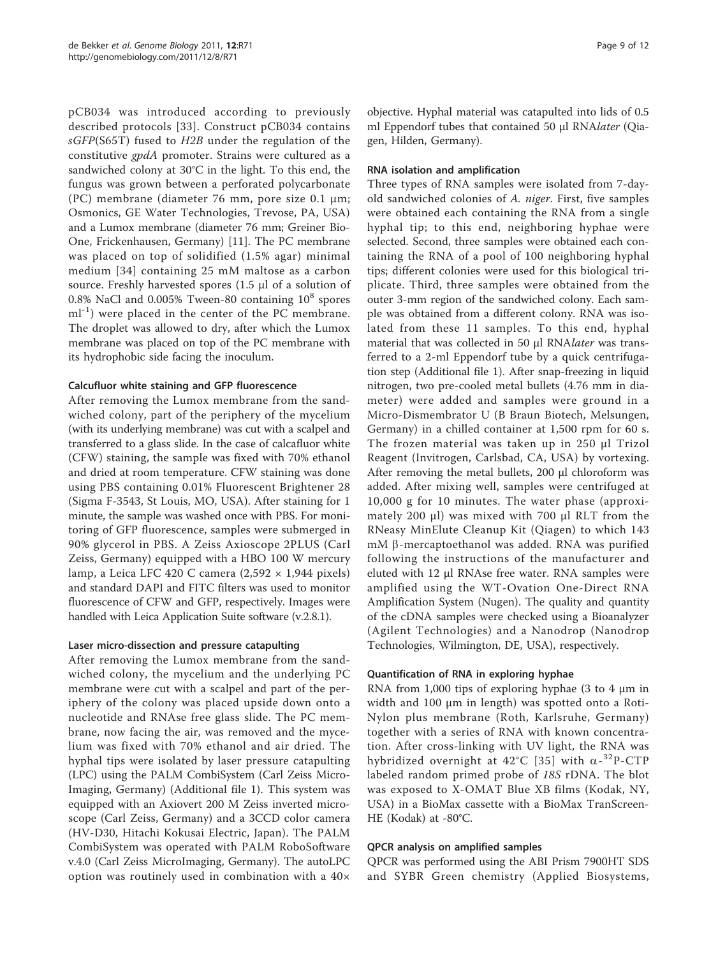pCB034 was introduced according to previously described protocols [[33\]](#page-10-0). Construct pCB034 contains sGFP(S65T) fused to H2B under the regulation of the constitutive gpdA promoter. Strains were cultured as a sandwiched colony at 30°C in the light. To this end, the fungus was grown between a perforated polycarbonate (PC) membrane (diameter 76 mm, pore size 0.1 μm; Osmonics, GE Water Technologies, Trevose, PA, USA) and a Lumox membrane (diameter 76 mm; Greiner Bio-One, Frickenhausen, Germany) [[11\]](#page-10-0). The PC membrane was placed on top of solidified (1.5% agar) minimal medium [[34](#page-10-0)] containing 25 mM maltose as a carbon source. Freshly harvested spores (1.5 μl of a solution of 0.8% NaCl and 0.005% Tween-80 containing  $10^8$  spores  $ml^{-1}$ ) were placed in the center of the PC membrane. The droplet was allowed to dry, after which the Lumox membrane was placed on top of the PC membrane with its hydrophobic side facing the inoculum.

# Calcufluor white staining and GFP fluorescence

After removing the Lumox membrane from the sandwiched colony, part of the periphery of the mycelium (with its underlying membrane) was cut with a scalpel and transferred to a glass slide. In the case of calcafluor white (CFW) staining, the sample was fixed with 70% ethanol and dried at room temperature. CFW staining was done using PBS containing 0.01% Fluorescent Brightener 28 (Sigma F-3543, St Louis, MO, USA). After staining for 1 minute, the sample was washed once with PBS. For monitoring of GFP fluorescence, samples were submerged in 90% glycerol in PBS. A Zeiss Axioscope 2PLUS (Carl Zeiss, Germany) equipped with a HBO 100 W mercury lamp, a Leica LFC 420 C camera  $(2,592 \times 1,944 \text{ pixels})$ and standard DAPI and FITC filters was used to monitor fluorescence of CFW and GFP, respectively. Images were handled with Leica Application Suite software (v.2.8.1).

### Laser micro-dissection and pressure catapulting

After removing the Lumox membrane from the sandwiched colony, the mycelium and the underlying PC membrane were cut with a scalpel and part of the periphery of the colony was placed upside down onto a nucleotide and RNAse free glass slide. The PC membrane, now facing the air, was removed and the mycelium was fixed with 70% ethanol and air dried. The hyphal tips were isolated by laser pressure catapulting (LPC) using the PALM CombiSystem (Carl Zeiss Micro-Imaging, Germany) (Additional file [1\)](#page-9-0). This system was equipped with an Axiovert 200 M Zeiss inverted microscope (Carl Zeiss, Germany) and a 3CCD color camera (HV-D30, Hitachi Kokusai Electric, Japan). The PALM CombiSystem was operated with PALM RoboSoftware v.4.0 (Carl Zeiss MicroImaging, Germany). The autoLPC option was routinely used in combination with a 40×

objective. Hyphal material was catapulted into lids of 0.5 ml Eppendorf tubes that contained 50 μl RNAlater (Qiagen, Hilden, Germany).

# RNA isolation and amplification

Three types of RNA samples were isolated from 7-dayold sandwiched colonies of A. niger. First, five samples were obtained each containing the RNA from a single hyphal tip; to this end, neighboring hyphae were selected. Second, three samples were obtained each containing the RNA of a pool of 100 neighboring hyphal tips; different colonies were used for this biological triplicate. Third, three samples were obtained from the outer 3-mm region of the sandwiched colony. Each sample was obtained from a different colony. RNA was isolated from these 11 samples. To this end, hyphal material that was collected in 50 μl RNAlater was transferred to a 2-ml Eppendorf tube by a quick centrifugation step (Additional file [1\)](#page-9-0). After snap-freezing in liquid nitrogen, two pre-cooled metal bullets (4.76 mm in diameter) were added and samples were ground in a Micro-Dismembrator U (B Braun Biotech, Melsungen, Germany) in a chilled container at 1,500 rpm for 60 s. The frozen material was taken up in 250 μl Trizol Reagent (Invitrogen, Carlsbad, CA, USA) by vortexing. After removing the metal bullets, 200 μl chloroform was added. After mixing well, samples were centrifuged at 10,000 g for 10 minutes. The water phase (approximately 200 μl) was mixed with 700 μl RLT from the RNeasy MinElute Cleanup Kit (Qiagen) to which 143 mM β-mercaptoethanol was added. RNA was purified following the instructions of the manufacturer and eluted with 12 μl RNAse free water. RNA samples were amplified using the WT-Ovation One-Direct RNA Amplification System (Nugen). The quality and quantity of the cDNA samples were checked using a Bioanalyzer (Agilent Technologies) and a Nanodrop (Nanodrop Technologies, Wilmington, DE, USA), respectively.

# Quantification of RNA in exploring hyphae

RNA from 1,000 tips of exploring hyphae  $(3 \text{ to } 4 \mu \text{m in})$ width and 100 μm in length) was spotted onto a Roti-Nylon plus membrane (Roth, Karlsruhe, Germany) together with a series of RNA with known concentration. After cross-linking with UV light, the RNA was hybridized overnight at  $42^{\circ}$ C [[35](#page-10-0)] with  $\alpha$ -<sup>32</sup>P-CTP labeled random primed probe of 18S rDNA. The blot was exposed to X-OMAT Blue XB films (Kodak, NY, USA) in a BioMax cassette with a BioMax TranScreen-HE (Kodak) at -80°C.

#### QPCR analysis on amplified samples

QPCR was performed using the ABI Prism 7900HT SDS and SYBR Green chemistry (Applied Biosystems,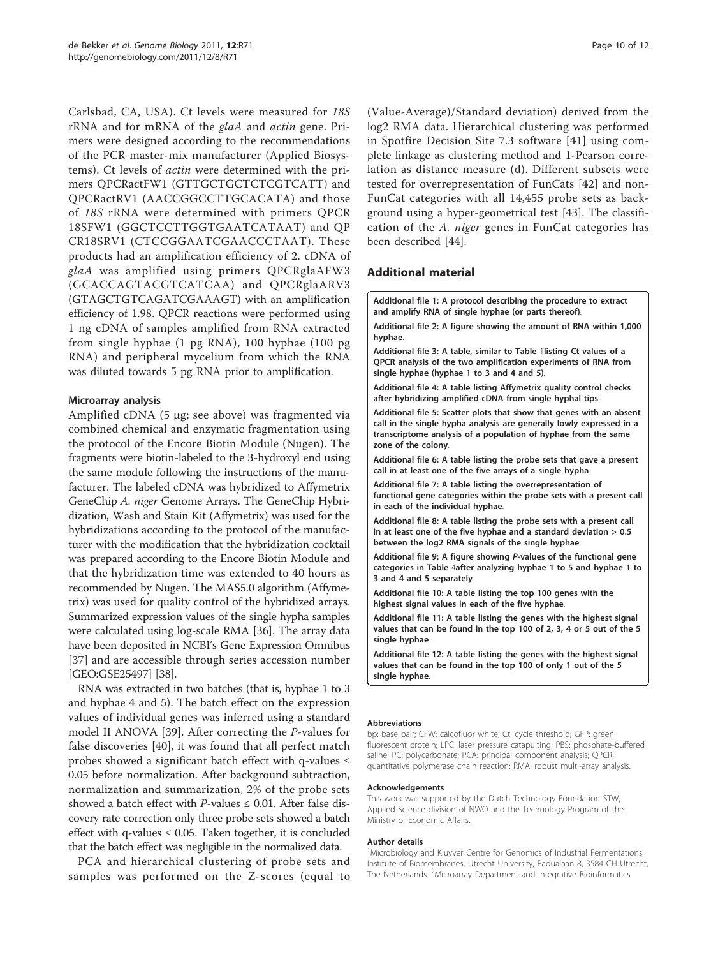<span id="page-9-0"></span>Carlsbad, CA, USA). Ct levels were measured for 18S rRNA and for mRNA of the glaA and actin gene. Primers were designed according to the recommendations of the PCR master-mix manufacturer (Applied Biosystems). Ct levels of actin were determined with the primers QPCRactFW1 (GTTGCTGCTCTCGTCATT) and QPCRactRV1 (AACCGGCCTTGCACATA) and those of 18S rRNA were determined with primers QPCR 18SFW1 (GGCTCCTTGGTGAATCATAAT) and QP CR18SRV1 (CTCCGGAATCGAACCCTAAT). These products had an amplification efficiency of 2. cDNA of glaA was amplified using primers QPCRglaAFW3 (GCACCAGTACGTCATCAA) and QPCRglaARV3 (GTAGCTGTCAGATCGAAAGT) with an amplification efficiency of 1.98. QPCR reactions were performed using 1 ng cDNA of samples amplified from RNA extracted from single hyphae (1 pg RNA), 100 hyphae (100 pg RNA) and peripheral mycelium from which the RNA was diluted towards 5 pg RNA prior to amplification.

#### Microarray analysis

Amplified cDNA (5 μg; see above) was fragmented via combined chemical and enzymatic fragmentation using the protocol of the Encore Biotin Module (Nugen). The fragments were biotin-labeled to the 3-hydroxyl end using the same module following the instructions of the manufacturer. The labeled cDNA was hybridized to Affymetrix GeneChip A. niger Genome Arrays. The GeneChip Hybridization, Wash and Stain Kit (Affymetrix) was used for the hybridizations according to the protocol of the manufacturer with the modification that the hybridization cocktail was prepared according to the Encore Biotin Module and that the hybridization time was extended to 40 hours as recommended by Nugen. The MAS5.0 algorithm (Affymetrix) was used for quality control of the hybridized arrays. Summarized expression values of the single hypha samples were calculated using log-scale RMA [\[36\]](#page-10-0). The array data have been deposited in NCBI's Gene Expression Omnibus [[37\]](#page-10-0) and are accessible through series accession number [GEO:GSE25497] [\[38\]](#page-10-0).

RNA was extracted in two batches (that is, hyphae 1 to 3 and hyphae 4 and 5). The batch effect on the expression values of individual genes was inferred using a standard model II ANOVA [\[39](#page-10-0)]. After correcting the P-values for false discoveries [[40\]](#page-10-0), it was found that all perfect match probes showed a significant batch effect with q-values  $\leq$ 0.05 before normalization. After background subtraction, normalization and summarization, 2% of the probe sets showed a batch effect with *P*-values  $\leq$  0.01. After false discovery rate correction only three probe sets showed a batch effect with q-values  $\leq 0.05$ . Taken together, it is concluded that the batch effect was negligible in the normalized data.

PCA and hierarchical clustering of probe sets and samples was performed on the Z-scores (equal to

(Value-Average)/Standard deviation) derived from the log2 RMA data. Hierarchical clustering was performed in Spotfire Decision Site 7.3 software [[41](#page-10-0)] using complete linkage as clustering method and 1-Pearson correlation as distance measure (d). Different subsets were tested for overrepresentation of FunCats [\[42](#page-10-0)] and non-FunCat categories with all 14,455 probe sets as background using a hyper-geometrical test [[43\]](#page-10-0). The classification of the A. niger genes in FunCat categories has been described [\[44\]](#page-10-0).

#### Additional material

[Additional file 1: A](http://www.biomedcentral.com/content/supplementary/gb-2011-12-8-r71-S1.DOC) protocol describing the procedure to extract and amplify RNA of single hyphae (or parts thereof).

[Additional file 2: A](http://www.biomedcentral.com/content/supplementary/gb-2011-12-8-r71-S2.DOC) figure showing the amount of RNA within 1,000 hyphae.

[Additional file 3: A](http://www.biomedcentral.com/content/supplementary/gb-2011-12-8-r71-S3.DOC) table, similar to Table [1](#page-2-0)listing Ct values of a QPCR analysis of the two amplification experiments of RNA from single hyphae (hyphae 1 to 3 and 4 and 5).

[Additional file 4: A](http://www.biomedcentral.com/content/supplementary/gb-2011-12-8-r71-S4.DOC) table listing Affymetrix quality control checks after hybridizing amplified cDNA from single hyphal tips.

[Additional file 5: S](http://www.biomedcentral.com/content/supplementary/gb-2011-12-8-r71-S5.DOC)catter plots that show that genes with an absent call in the single hypha analysis are generally lowly expressed in a transcriptome analysis of a population of hyphae from the same zone of the colony.

[Additional file 6: A](http://www.biomedcentral.com/content/supplementary/gb-2011-12-8-r71-S6.XLSX) table listing the probe sets that gave a present call in at least one of the five arrays of a single hypha.

[Additional file 7: A](http://www.biomedcentral.com/content/supplementary/gb-2011-12-8-r71-S7.XLSX) table listing the overrepresentation of functional gene categories within the probe sets with a present call in each of the individual hyphae.

[Additional file 8: A](http://www.biomedcentral.com/content/supplementary/gb-2011-12-8-r71-S8.XLSX) table listing the probe sets with a present call in at least one of the five hyphae and a standard deviation  $> 0.5$ between the log2 RMA signals of the single hyphae.

[Additional file 9: A](http://www.biomedcentral.com/content/supplementary/gb-2011-12-8-r71-S9.DOCX) figure showing P-values of the functional gene categories in Table [4](#page-5-0)after analyzing hyphae 1 to 5 and hyphae 1 to 3 and 4 and 5 separately.

[Additional file 10: A](http://www.biomedcentral.com/content/supplementary/gb-2011-12-8-r71-S10.XLSX) table listing the top 100 genes with the highest signal values in each of the five hyphae.

[Additional file 11: A](http://www.biomedcentral.com/content/supplementary/gb-2011-12-8-r71-S11.DOC) table listing the genes with the highest signal values that can be found in the top 100 of 2, 3, 4 or 5 out of the 5 single hyphae.

[Additional file 12: A](http://www.biomedcentral.com/content/supplementary/gb-2011-12-8-r71-S12.DOC) table listing the genes with the highest signal values that can be found in the top 100 of only 1 out of the 5 single hyphae

#### Abbreviations

bp: base pair; CFW: calcofluor white; Ct: cycle threshold; GFP: green fluorescent protein; LPC: laser pressure catapulting; PBS: phosphate-buffered saline; PC: polycarbonate; PCA: principal component analysis; QPCR: quantitative polymerase chain reaction; RMA: robust multi-array analysis.

#### Acknowledgements

This work was supported by the Dutch Technology Foundation STW, Applied Science division of NWO and the Technology Program of the Ministry of Economic Affairs.

#### Author details

<sup>1</sup>Microbiology and Kluyver Centre for Genomics of Industrial Fermentations, Institute of Biomembranes, Utrecht University, Padualaan 8, 3584 CH Utrecht, The Netherlands. <sup>2</sup>Microarray Department and Integrative Bioinformatics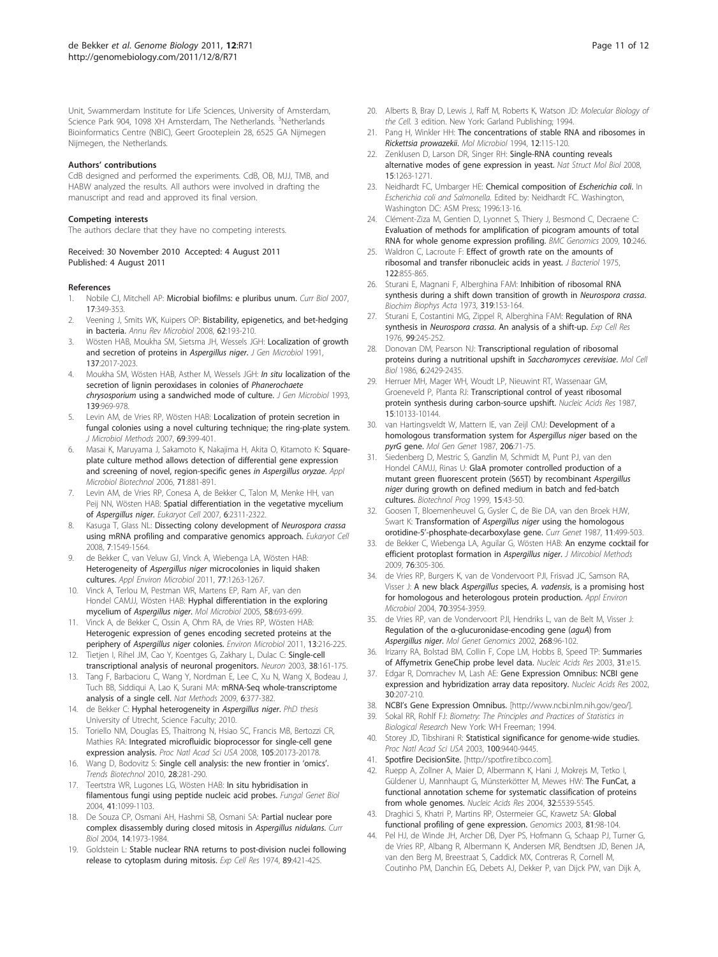<span id="page-10-0"></span>Unit, Swammerdam Institute for Life Sciences, University of Amsterdam, Science Park 904, 1098 XH Amsterdam, The Netherlands. <sup>3</sup>Netherlands Bioinformatics Centre (NBIC), Geert Grooteplein 28, 6525 GA Nijmegen Nijmegen, the Netherlands.

#### Authors' contributions

CdB designed and performed the experiments. CdB, OB, MJJ, TMB, and HABW analyzed the results. All authors were involved in drafting the manuscript and read and approved its final version.

#### Competing interests

The authors declare that they have no competing interests.

#### Received: 30 November 2010 Accepted: 4 August 2011 Published: 4 August 2011

#### References

- Nobile CJ, Mitchell AP: Microbial biofilms: e pluribus unum. Curr Biol 2007, 17:349-353.
- 2. Veening J, Smits WK, Kuipers OP: [Bistability, epigenetics, and bet-hedging](http://www.ncbi.nlm.nih.gov/pubmed/18537474?dopt=Abstract) [in bacteria.](http://www.ncbi.nlm.nih.gov/pubmed/18537474?dopt=Abstract) Annu Rev Microbiol 2008, 62:193-210.
- Wösten HAB, Moukha SM, Sietsma JH, Wessels JGH: [Localization of growth](http://www.ncbi.nlm.nih.gov/pubmed/1955876?dopt=Abstract) [and secretion of proteins in](http://www.ncbi.nlm.nih.gov/pubmed/1955876?dopt=Abstract) Aspergillus niger. J Gen Microbiol 1991, 137:2017-2023.
- 4. Moukha SM, Wösten HAB, Asther M, Wessels JGH: In situ [localization of the](http://www.ncbi.nlm.nih.gov/pubmed/8336112?dopt=Abstract) [secretion of lignin peroxidases in colonies of](http://www.ncbi.nlm.nih.gov/pubmed/8336112?dopt=Abstract) Phanerochaete chrysosporium [using a sandwiched mode of culture.](http://www.ncbi.nlm.nih.gov/pubmed/8336112?dopt=Abstract) J Gen Microbiol 1993, 139:969-978.
- Levin AM, de Vries RP, Wösten HAB: [Localization of protein secretion in](http://www.ncbi.nlm.nih.gov/pubmed/17291611?dopt=Abstract) [fungal colonies using a novel culturing technique; the ring-plate system.](http://www.ncbi.nlm.nih.gov/pubmed/17291611?dopt=Abstract) J Microbiol Methods 2007, 69:399-401.
- 6. Masai K, Maruyama J, Sakamoto K, Nakajima H, Akita O, Kitamoto K: [Square](http://www.ncbi.nlm.nih.gov/pubmed/16708193?dopt=Abstract)[plate culture method allows detection of differential gene expression](http://www.ncbi.nlm.nih.gov/pubmed/16708193?dopt=Abstract) [and screening of novel, region-specific genes](http://www.ncbi.nlm.nih.gov/pubmed/16708193?dopt=Abstract) in Aspergillus oryzae. Appl Microbiol Biotechnol 2006, 71:881-891.
- 7. Levin AM, de Vries RP, Conesa A, de Bekker C, Talon M, Menke HH, van Peij NN, Wösten HAB: [Spatial differentiation in the vegetative mycelium](http://www.ncbi.nlm.nih.gov/pubmed/17951513?dopt=Abstract) of [Aspergillus niger](http://www.ncbi.nlm.nih.gov/pubmed/17951513?dopt=Abstract). Eukaryot Cell 2007, 6:2311-2322.
- 8. Kasuga T, Glass NL: [Dissecting colony development of](http://www.ncbi.nlm.nih.gov/pubmed/18676954?dopt=Abstract) Neurospora crassa [using mRNA profiling and comparative genomics approach.](http://www.ncbi.nlm.nih.gov/pubmed/18676954?dopt=Abstract) Eukaryot Cell 2008, 7:1549-1564.
- de Bekker C, van Veluw GJ, Vinck A, Wiebenga LA, Wösten HAB: Heterogeneity of Aspergillus niger [microcolonies in liquid shaken](http://www.ncbi.nlm.nih.gov/pubmed/21169437?dopt=Abstract) [cultures.](http://www.ncbi.nlm.nih.gov/pubmed/21169437?dopt=Abstract) Appl Environ Microbiol 2011, 77:1263-1267.
- 10. Vinck A, Terlou M, Pestman WR, Martens EP, Ram AF, van den Hondel CAMJJ, Wösten HAB: [Hyphal differentiation in the exploring](http://www.ncbi.nlm.nih.gov/pubmed/16238620?dopt=Abstract) mycelium of [Aspergillus niger](http://www.ncbi.nlm.nih.gov/pubmed/16238620?dopt=Abstract). Mol Microbiol 2005, 58:693-699.
- 11. Vinck A, de Bekker C, Ossin A, Ohm RA, de Vries RP, Wösten HAB: [Heterogenic expression of genes encoding secreted proteins at the](http://www.ncbi.nlm.nih.gov/pubmed/20722697?dopt=Abstract) periphery of [Aspergillus niger](http://www.ncbi.nlm.nih.gov/pubmed/20722697?dopt=Abstract) colonies. Environ Microbiol 2011, 13:216-225.
- 12. Tietjen I, Rihel JM, Cao Y, Koentges G, Zakhary L, Dulac C: [Single-cell](http://www.ncbi.nlm.nih.gov/pubmed/12718852?dopt=Abstract) [transcriptional analysis of neuronal progenitors.](http://www.ncbi.nlm.nih.gov/pubmed/12718852?dopt=Abstract) Neuron 2003, 38:161-175.
- 13. Tang F, Barbacioru C, Wang Y, Nordman E, Lee C, Xu N, Wang X, Bodeau J, Tuch BB, Siddiqui A, Lao K, Surani MA: [mRNA-Seq whole-transcriptome](http://www.ncbi.nlm.nih.gov/pubmed/19349980?dopt=Abstract) [analysis of a single cell.](http://www.ncbi.nlm.nih.gov/pubmed/19349980?dopt=Abstract) Nat Methods 2009, 6:377-382.
- 14. de Bekker C: Hyphal heterogeneity in Aspergillus niger. PhD thesis University of Utrecht, Science Faculty; 2010.
- 15. Toriello NM, Douglas ES, Thaitrong N, Hsiao SC, Francis MB, Bertozzi CR, Mathies RA: [Integrated microfluidic bioprocessor for single-cell gene](http://www.ncbi.nlm.nih.gov/pubmed/19075237?dopt=Abstract) [expression analysis.](http://www.ncbi.nlm.nih.gov/pubmed/19075237?dopt=Abstract) Proc Natl Acad Sci USA 2008, 105:20173-20178.
- 16. Wang D, Bodovitz S: [Single cell analysis: the new frontier in](http://www.ncbi.nlm.nih.gov/pubmed/20434785?dopt=Abstract) 'omics'. Trends Biotechnol 2010, 28:281-290.
- 17. Teertstra WR, Lugones LG, Wösten HAB: [In situ hybridisation in](http://www.ncbi.nlm.nih.gov/pubmed/15586449?dopt=Abstract) [filamentous fungi using peptide nucleic acid probes.](http://www.ncbi.nlm.nih.gov/pubmed/15586449?dopt=Abstract) Fungal Genet Biol 2004, 41:1099-1103.
- 18. De Souza CP, Osmani AH, Hashmi SB, Osmani SA: [Partial nuclear pore](http://www.ncbi.nlm.nih.gov/pubmed/15556859?dopt=Abstract) [complex disassembly during closed mitosis in](http://www.ncbi.nlm.nih.gov/pubmed/15556859?dopt=Abstract) Aspergillus nidulans. Curr Biol 2004, 14:1973-1984.
- 19. Goldstein L: [Stable nuclear RNA returns to post-division nuclei following](http://www.ncbi.nlm.nih.gov/pubmed/4218174?dopt=Abstract) [release to cytoplasm during mitosis.](http://www.ncbi.nlm.nih.gov/pubmed/4218174?dopt=Abstract) Exp Cell Res 1974, 89:421-425.
- 20. Alberts B, Bray D, Lewis J, Raff M, Roberts K, Watson JD; Molecular Biology of the Cell. 3 edition. New York: Garland Publishing; 1994.
- 21. Pang H, Winkler HH: [The concentrations of stable RNA and ribosomes in](http://www.ncbi.nlm.nih.gov/pubmed/7520114?dopt=Abstract) [Rickettsia prowazekii](http://www.ncbi.nlm.nih.gov/pubmed/7520114?dopt=Abstract). Mol Microbiol 1994, 12:115-120.
- 22. Zenklusen D, Larson DR, Singer RH: [Single-RNA counting reveals](http://www.ncbi.nlm.nih.gov/pubmed/19011635?dopt=Abstract) [alternative modes of gene expression in yeast.](http://www.ncbi.nlm.nih.gov/pubmed/19011635?dopt=Abstract) Nat Struct Mol Biol 2008, 15:1263-1271.
- 23. Neidhardt FC, Umbarger HE: Chemical composition of Escherichia coli. In Escherichia coli and Salmonella. Edited by: Neidhardt FC. Washington, Washington DC: ASM Press; 1996:13-16.
- 24. Clément-Ziza M, Gentien D, Lyonnet S, Thiery J, Besmond C, Decraene C: [Evaluation of methods for amplification of picogram amounts of total](http://www.ncbi.nlm.nih.gov/pubmed/19470167?dopt=Abstract) [RNA for whole genome expression profiling.](http://www.ncbi.nlm.nih.gov/pubmed/19470167?dopt=Abstract) BMC Genomics 2009, 10:246.
- 25. Waldron C, Lacroute F: [Effect of growth rate on the amounts of](http://www.ncbi.nlm.nih.gov/pubmed/1097403?dopt=Abstract) [ribosomal and transfer ribonucleic acids in yeast.](http://www.ncbi.nlm.nih.gov/pubmed/1097403?dopt=Abstract) J Bacteriol 1975, 122:855-865.
- 26. Sturani E, Magnani F, Alberghina FAM: [Inhibition of ribosomal RNA](http://www.ncbi.nlm.nih.gov/pubmed/4270631?dopt=Abstract) [synthesis during a shift down transition of growth in](http://www.ncbi.nlm.nih.gov/pubmed/4270631?dopt=Abstract) Neurospora crassa. Biochim Biophys Acta 1973, 319:153-164.
- 27. Sturani E, Costantini MG, Zippel R, Alberghina FAM: [Regulation of RNA](http://www.ncbi.nlm.nih.gov/pubmed/131689?dopt=Abstract) synthesis in Neurospora crassa[. An analysis of a shift-up.](http://www.ncbi.nlm.nih.gov/pubmed/131689?dopt=Abstract) Exp Cell Res 1976, 99:245-252.
- 28. Donovan DM, Pearson NJ: [Transcriptional regulation of ribosomal](http://www.ncbi.nlm.nih.gov/pubmed/3023933?dopt=Abstract) [proteins during a nutritional upshift in](http://www.ncbi.nlm.nih.gov/pubmed/3023933?dopt=Abstract) Saccharomyces cerevisiae. Mol Cell Biol 1986, 6:2429-2435.
- 29. Herruer MH, Mager WH, Woudt LP, Nieuwint RT, Wassenaar GM, Groeneveld P, Planta RJ: [Transcriptional control of yeast ribosomal](http://www.ncbi.nlm.nih.gov/pubmed/3320961?dopt=Abstract) [protein synthesis during carbon-source upshift.](http://www.ncbi.nlm.nih.gov/pubmed/3320961?dopt=Abstract) Nucleic Acids Res 1987, 15:10133-10144.
- 30. van Hartingsveldt W, Mattern IE, van Zeijl CMJ: [Development of a](http://www.ncbi.nlm.nih.gov/pubmed/3472035?dopt=Abstract) [homologous transformation system for](http://www.ncbi.nlm.nih.gov/pubmed/3472035?dopt=Abstract) Aspergillus niger based on the pyrG [gene.](http://www.ncbi.nlm.nih.gov/pubmed/3472035?dopt=Abstract) Mol Gen Genet 1987, 206:71-75.
- 31. Siedenberg D, Mestric S, Ganzlin M, Schmidt M, Punt PJ, van den Hondel CAMJJ, Rinas U: [GlaA promoter controlled production of a](http://www.ncbi.nlm.nih.gov/pubmed/9933512?dopt=Abstract) [mutant green fluorescent protein \(S65T\) by recombinant](http://www.ncbi.nlm.nih.gov/pubmed/9933512?dopt=Abstract) Aspergillus niger [during growth on defined medium in batch and fed-batch](http://www.ncbi.nlm.nih.gov/pubmed/9933512?dopt=Abstract) [cultures.](http://www.ncbi.nlm.nih.gov/pubmed/9933512?dopt=Abstract) Biotechnol Prog 1999, 15:43-50.
- 32. Goosen T, Bloemenheuvel G, Gysler C, de Bie DA, van den Broek HJW, Swart K: Transformation of Aspergillus niger [using the homologous](http://www.ncbi.nlm.nih.gov/pubmed/2836081?dopt=Abstract) orotidine-5'[-phosphate-decarboxylase gene.](http://www.ncbi.nlm.nih.gov/pubmed/2836081?dopt=Abstract) Curr Genet 1987, 11:499-503.
- 33. de Bekker C, Wiebenga LA, Aguilar G, Wösten HAB: An enzyme cocktail for efficient protoplast formation in Aspergillus niger. J Mircobiol Methods 2009, 76:305-306.
- 34. de Vries RP, Burgers K, van de Vondervoort PJI, Frisvad JC, Samson RA, Visser J: A new black Aspergillus species, A. vadensis[, is a promising host](http://www.ncbi.nlm.nih.gov/pubmed/15240269?dopt=Abstract) [for homologous and heterologous protein production.](http://www.ncbi.nlm.nih.gov/pubmed/15240269?dopt=Abstract) Appl Environ Microbiol 2004, 70:3954-3959.
- 35. de Vries RP, van de Vondervoort PJI, Hendriks L, van de Belt M, Visser J: Regulation of the α[-glucuronidase-encoding gene \(](http://www.ncbi.nlm.nih.gov/pubmed/12242504?dopt=Abstract)aguA) from [Aspergillus niger](http://www.ncbi.nlm.nih.gov/pubmed/12242504?dopt=Abstract). Mol Genet Genomics 2002, 268:96-102.
- 36. Irizarry RA, Bolstad BM, Collin F, Cope LM, Hobbs B, Speed TP: [Summaries](http://www.ncbi.nlm.nih.gov/pubmed/12582260?dopt=Abstract) of [Affymetrix GeneChip probe level data.](http://www.ncbi.nlm.nih.gov/pubmed/12582260?dopt=Abstract) Nucleic Acids Res 2003, 31:e15.
- 37. Edgar R, Domrachev M, Lash AE: [Gene Expression Omnibus: NCBI gene](http://www.ncbi.nlm.nih.gov/pubmed/11752295?dopt=Abstract) [expression and hybridization array data repository.](http://www.ncbi.nlm.nih.gov/pubmed/11752295?dopt=Abstract) Nucleic Acids Res 2002, 30:207-210.
- 38. NCBI's Gene Expression Omnibus. [[http://www.ncbi.nlm.nih.gov/geo/\]](http://www.ncbi.nlm.nih.gov/geo/).
- 39. Sokal RR, Rohlf FJ: Biometry: The Principles and Practices of Statistics in Biological Research New York: WH Freeman; 1994.
- 40. Storey JD, Tibshirani R: [Statistical significance for genome-wide studies.](http://www.ncbi.nlm.nih.gov/pubmed/12883005?dopt=Abstract) Proc Natl Acad Sci USA 2003, 100:9440-9445.
- 41. Spotfire DecisionSite. [<http://spotfire.tibco.com>].
- 42. Ruepp A, Zollner A, Maier D, Albermann K, Hani J, Mokrejs M, Tetko I, Güldener U, Mannhaupt G, Münsterkötter M, Mewes HW: [The FunCat, a](http://www.ncbi.nlm.nih.gov/pubmed/15486203?dopt=Abstract) [functional annotation scheme for systematic classification of proteins](http://www.ncbi.nlm.nih.gov/pubmed/15486203?dopt=Abstract) [from whole genomes.](http://www.ncbi.nlm.nih.gov/pubmed/15486203?dopt=Abstract) Nucleic Acids Res 2004, 32:5539-5545.
- 43. Draghici S, Khatri P, Martins RP, Ostermeier GC, Krawetz SA: [Global](http://www.ncbi.nlm.nih.gov/pubmed/12620386?dopt=Abstract) [functional profiling of gene expression.](http://www.ncbi.nlm.nih.gov/pubmed/12620386?dopt=Abstract) Genomics 2003, 81:98-104.
- Pel HJ, de Winde JH, Archer DB, Dyer PS, Hofmann G, Schaap PJ, Turner G, de Vries RP, Albang R, Albermann K, Andersen MR, Bendtsen JD, Benen JA, van den Berg M, Breestraat S, Caddick MX, Contreras R, Cornell M, Coutinho PM, Danchin EG, Debets AJ, Dekker P, van Dijck PW, van Dijk A,